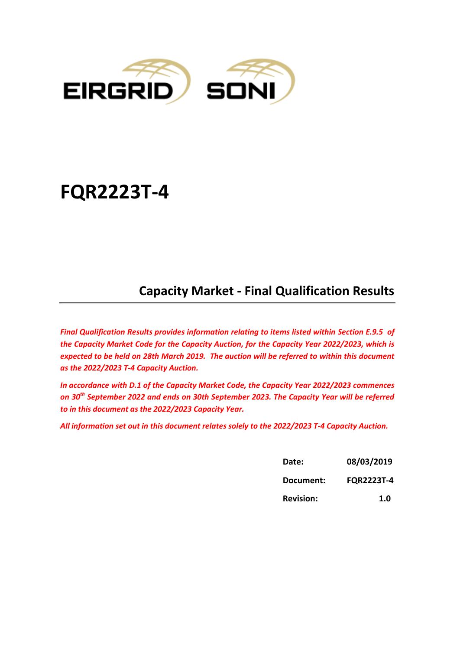

# **FQR2223T-4**

## **Capacity Market - Final Qualification Results**

*Final Qualification Results provides information relating to items listed within Section E.9.5 of the Capacity Market Code for the Capacity Auction, for the Capacity Year 2022/2023, which is expected to be held on 28th March 2019. The auction will be referred to within this document as the 2022/2023 T-4 Capacity Auction.* 

*In accordance with D.1 of the Capacity Market Code, the Capacity Year 2022/2023 commences on 30th September 2022 and ends on 30th September 2023. The Capacity Year will be referred to in this document as the 2022/2023 Capacity Year.*

*All information set out in this document relates solely to the 2022/2023 T-4 Capacity Auction.* 

| Date:            | 08/03/2019        |  |
|------------------|-------------------|--|
| Document:        | <b>FQR2223T-4</b> |  |
| <b>Revision:</b> | 1.0               |  |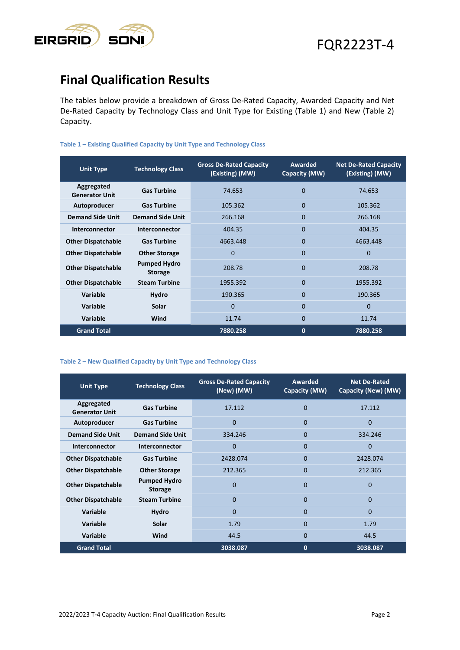

### **Final Qualification Results**

The tables below provide a breakdown of Gross De-Rated Capacity, Awarded Capacity and Net De-Rated Capacity by Technology Class and Unit Type for Existing (Table 1) and New (Table 2) Capacity.

### **Table 1 – Existing Qualified Capacity by Unit Type and Technology Class**

| <b>Unit Type</b>                    | <b>Technology Class</b>               | <b>Gross De-Rated Capacity</b><br>(Existing) (MW) | Awarded<br>Capacity (MW) | <b>Net De-Rated Capacity</b><br>(Existing) (MW) |
|-------------------------------------|---------------------------------------|---------------------------------------------------|--------------------------|-------------------------------------------------|
| Aggregated<br><b>Generator Unit</b> | <b>Gas Turbine</b>                    | 74.653                                            | $\Omega$                 | 74.653                                          |
| Autoproducer                        | <b>Gas Turbine</b>                    | 105.362                                           | $\Omega$                 | 105.362                                         |
| <b>Demand Side Unit</b>             | <b>Demand Side Unit</b>               | 266.168                                           | $\Omega$                 | 266.168                                         |
| Interconnector                      | Interconnector                        | 404.35                                            | $\Omega$                 | 404.35                                          |
| <b>Other Dispatchable</b>           | <b>Gas Turbine</b>                    | 4663.448                                          | $\Omega$                 | 4663.448                                        |
| <b>Other Dispatchable</b>           | <b>Other Storage</b>                  | $\Omega$                                          | $\Omega$                 | $\Omega$                                        |
| <b>Other Dispatchable</b>           | <b>Pumped Hydro</b><br><b>Storage</b> | 208.78                                            | $\Omega$                 | 208.78                                          |
| <b>Other Dispatchable</b>           | <b>Steam Turbine</b>                  | 1955.392                                          | $\Omega$                 | 1955.392                                        |
| Variable                            | <b>Hydro</b>                          | 190.365                                           | $\Omega$                 | 190.365                                         |
| Variable                            | Solar                                 | $\Omega$                                          | $\Omega$                 | $\Omega$                                        |
| <b>Variable</b>                     | Wind                                  | 11.74                                             | $\mathbf 0$              | 11.74                                           |
| <b>Grand Total</b>                  |                                       | 7880.258                                          | $\mathbf 0$              | 7880.258                                        |

#### **Table 2 – New Qualified Capacity by Unit Type and Technology Class**

| <b>Unit Type</b>                    | <b>Technology Class</b>               | <b>Gross De-Rated Capacity</b><br>(New) (MW) | Awarded<br>Capacity (MW) | <b>Net De-Rated</b><br>Capacity (New) (MW) |
|-------------------------------------|---------------------------------------|----------------------------------------------|--------------------------|--------------------------------------------|
| Aggregated<br><b>Generator Unit</b> | <b>Gas Turbine</b>                    | 17.112                                       | $\Omega$                 | 17.112                                     |
| Autoproducer                        | <b>Gas Turbine</b>                    | $\Omega$                                     | $\Omega$                 | $\Omega$                                   |
| <b>Demand Side Unit</b>             | <b>Demand Side Unit</b>               | 334.246                                      | $\Omega$                 | 334.246                                    |
| Interconnector                      | Interconnector                        | $\Omega$                                     | $\Omega$                 | $\Omega$                                   |
| <b>Other Dispatchable</b>           | <b>Gas Turbine</b>                    | 2428.074                                     | $\Omega$                 | 2428.074                                   |
| <b>Other Dispatchable</b>           | <b>Other Storage</b>                  | 212.365                                      | $\Omega$                 | 212.365                                    |
| <b>Other Dispatchable</b>           | <b>Pumped Hydro</b><br><b>Storage</b> | $\Omega$                                     | $\Omega$                 | $\Omega$                                   |
| <b>Other Dispatchable</b>           | <b>Steam Turbine</b>                  | $\Omega$                                     | $\Omega$                 | $\Omega$                                   |
| Variable                            | <b>Hydro</b>                          | $\Omega$                                     | $\Omega$                 | $\Omega$                                   |
| <b>Variable</b>                     | Solar                                 | 1.79                                         | $\Omega$                 | 1.79                                       |
| Variable                            | Wind                                  | 44.5                                         | $\Omega$                 | 44.5                                       |
| <b>Grand Total</b>                  |                                       | 3038.087                                     | 0                        | 3038.087                                   |